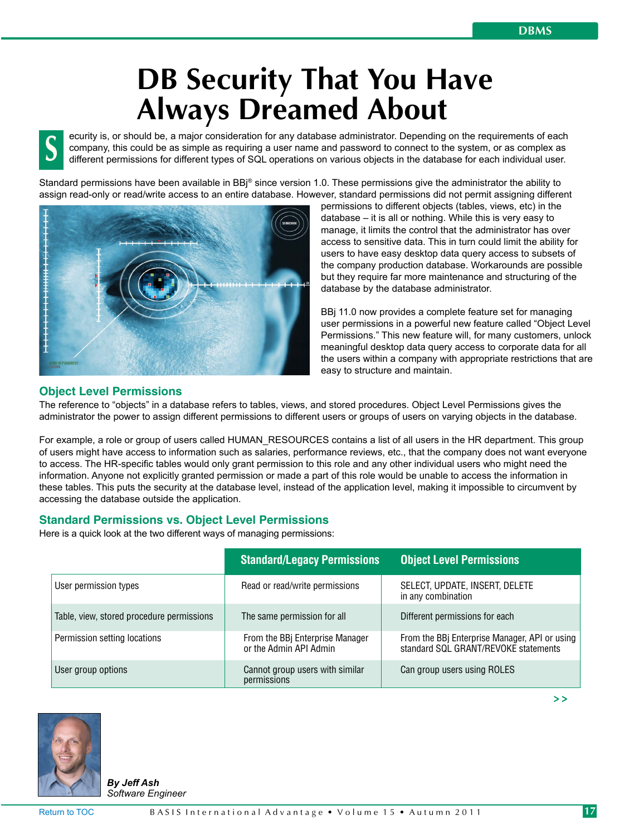# **DB Security That You Have Always Dreamed About**

ecurity is, or should be, a major consideration for any database administrator. Depending on the requirements of each company, this could be as simple as requiring a user name and password to connect to the system, or as complex as different permissions for different types of SQL operations on various objects in the database for each individual user. **S**

Standard permissions have been available in BBi® since version 1.0. These permissions give the administrator the ability to assign read-only or read/write access to an entire database. However, standard permissions did not permit assigning different



permissions to different objects (tables, views, etc) in the database – it is all or nothing. While this is very easy to manage, it limits the control that the administrator has over access to sensitive data. This in turn could limit the ability for users to have easy desktop data query access to subsets of the company production database. Workarounds are possible but they require far more maintenance and structuring of the database by the database administrator.

BBj 11.0 now provides a complete feature set for managing user permissions in a powerful new feature called "Object Level Permissions." This new feature will, for many customers, unlock meaningful desktop data query access to corporate data for all the users within a company with appropriate restrictions that are easy to structure and maintain.

# **Object Level Permissions**

The reference to "objects" in a database refers to tables, views, and stored procedures. Object Level Permissions gives the administrator the power to assign different permissions to different users or groups of users on varying objects in the database.

For example, a role or group of users called HUMAN\_RESOURCES contains a list of all users in the HR department. This group of users might have access to information such as salaries, performance reviews, etc., that the company does not want everyone to access. The HR-specific tables would only grant permission to this role and any other individual users who might need the information. Anyone not explicitly granted permission or made a part of this role would be unable to access the information in these tables. This puts the security at the database level, instead of the application level, making it impossible to circumvent by accessing the database outside the application.

# **Standard Permissions vs. Object Level Permissions**

Here is a quick look at the two different ways of managing permissions:

|                                           | <b>Standard/Legacy Permissions</b>                        | <b>Object Level Permissions</b>                                                       |
|-------------------------------------------|-----------------------------------------------------------|---------------------------------------------------------------------------------------|
| User permission types                     | Read or read/write permissions                            | SELECT, UPDATE, INSERT, DELETE<br>in any combination                                  |
| Table, view, stored procedure permissions | The same permission for all                               | Different permissions for each                                                        |
| Permission setting locations              | From the BBj Enterprise Manager<br>or the Admin API Admin | From the BBj Enterprise Manager, API or using<br>standard SQL GRANT/REVOKE statements |
| User group options                        | Cannot group users with similar<br>permissions            | Can group users using ROLES                                                           |



*By Jeff Ash Software Engineer* **> >**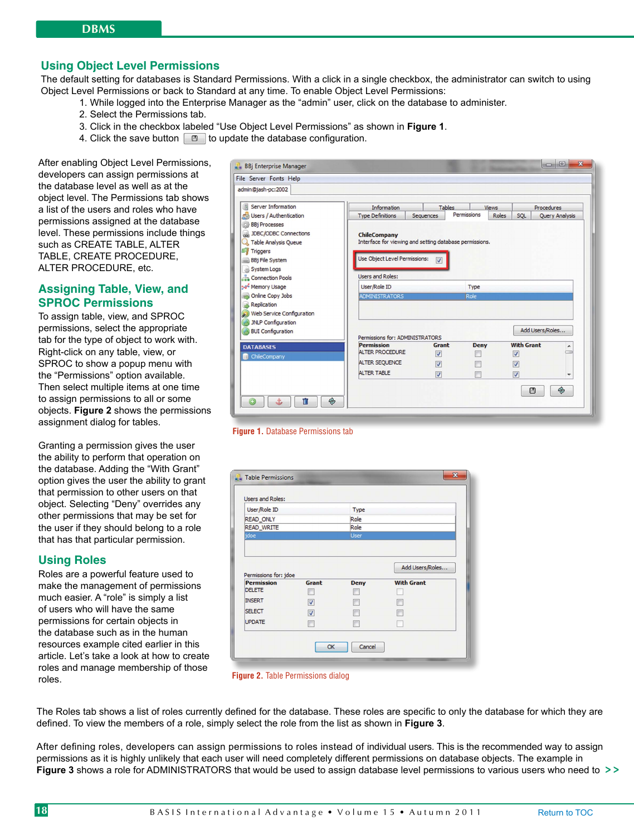# **Using Object Level Permissions**

The default setting for databases is Standard Permissions. With a click in a single checkbox, the administrator can switch to using Object Level Permissions or back to Standard at any time. To enable Object Level Permissions:

- 1. While logged into the Enterprise Manager as the "admin" user, click on the database to administer.
- 2. Select the Permissions tab.
- 3. Click in the checkbox labeled "Use Object Level Permissions" as shown in **Figure 1**.
- 4. Click the save button  $\Box$  to update the database configuration.

After enabling Object Level Permissions, developers can assign permissions at the database level as well as at the object level. The Permissions tab shows a list of the users and roles who have permissions assigned at the database level. These permissions include things such as CREATE TABLE, ALTER TABLE, CREATE PROCEDURE, ALTER PROCEDURE, etc.

# **Assigning Table, View, and SPROC Permissions**

To assign table, view, and SPROC permissions, select the appropriate tab for the type of object to work with. Right-click on any table, view, or SPROC to show a popup menu with the "Permissions" option available. Then select multiple items at one time to assign permissions to all or some objects. **Figure 2** shows the permissions assignment dialog for tables.

Granting a permission gives the user the ability to perform that operation on the database. Adding the "With Grant" option gives the user the ability to grant that permission to other users on that object. Selecting "Deny" overrides any other permissions that may be set for the user if they should belong to a role that has that particular permission.

#### **Using Roles**

Roles are a powerful feature used to make the management of permissions much easier. A "role" is simply a list of users who will have the same permissions for certain objects in the database such as in the human resources example cited earlier in this article. Let's take a look at how to create roles and manage membership of those roles.

| File Server Fonts Help                                                                                                                         |                                                                                                                                             |                          |             |              |                         |                       |
|------------------------------------------------------------------------------------------------------------------------------------------------|---------------------------------------------------------------------------------------------------------------------------------------------|--------------------------|-------------|--------------|-------------------------|-----------------------|
| admin@jash-pc:2002                                                                                                                             |                                                                                                                                             |                          |             |              |                         |                       |
| Server Information                                                                                                                             | <b>Information</b>                                                                                                                          | <b>Tables</b>            |             | <b>Views</b> | Procedures              |                       |
| <b>Ca</b> Users / Authentication                                                                                                               | <b>Type Definitions</b>                                                                                                                     | Sequences                | Permissions | Roles        | SQL                     | <b>Query Analysis</b> |
| <b>BBj Processes</b><br>JDBC/ODBC Connections<br>Table Analysis Queue<br><b>Triggers</b><br>BBj File System<br>System Logs<br>Connection Pools | <b>ChileCompany</b><br>Interface for viewing and setting database permissions.<br>Use Object Level Permissions:<br><b>Lisers and Roles:</b> | $\overline{\mathsf{v}}$  |             |              |                         |                       |
| Memory Usage                                                                                                                                   | User/Role ID                                                                                                                                |                          | Type        |              |                         |                       |
| Online Copy Jobs<br>Replication<br>Web Service Configuration<br>JNLP Configuration                                                             | <b>ADMINISTRATORS</b>                                                                                                                       |                          | Role        |              |                         |                       |
| <b>BUI</b> Configuration                                                                                                                       | Permissions for: ADMINISTRATORS                                                                                                             |                          |             |              | Add Users/Roles         |                       |
| <b>DATABASES</b>                                                                                                                               | <b>Permission</b>                                                                                                                           | <b>Grant</b>             | <b>Deny</b> |              | <b>With Grant</b>       | ▴                     |
| ChileCompany                                                                                                                                   | <b>ALTER PROCEDURE</b>                                                                                                                      | $\overline{\mathcal{S}}$ |             |              | $\overline{\mathbf{v}}$ |                       |
|                                                                                                                                                | ALTER SEQUENCE                                                                                                                              | $\overline{\mathcal{L}}$ |             |              | $\overline{\mathbf{v}}$ |                       |
|                                                                                                                                                | <b>ALTER TABLE</b>                                                                                                                          | V                        | F           |              | $\overline{\mathbf{v}}$ |                       |
| ⊛<br>û                                                                                                                                         |                                                                                                                                             |                          |             |              | 冏                       | Q,                    |

**Figure 1. Database Permissions tab** 

| User/Role ID                                                |                          |                     |                                      |
|-------------------------------------------------------------|--------------------------|---------------------|--------------------------------------|
|                                                             |                          | Type                |                                      |
| READ_ONLY                                                   |                          | Role                |                                      |
| <b>READ_WRITE</b><br><b>idoe</b>                            |                          | Role<br><b>User</b> |                                      |
|                                                             |                          |                     |                                      |
| Permissions for: jdoe<br><b>Permission</b><br><b>DELETE</b> | Grant                    | <b>Deny</b>         | Add Users/Roles<br><b>With Grant</b> |
| <b>INSERT</b>                                               | $\overline{\mathbf{v}}$  |                     |                                      |
| <b>SELECT</b>                                               | $\overline{\mathcal{A}}$ |                     |                                      |

**Figure 2.** Table Permissions dialog

The Roles tab shows a list of roles currently defined for the database. These roles are specific to only the database for which they are defined. To view the members of a role, simply select the role from the list as shown in **Figure 3**.

**Figure 3** shows a role for ADMINISTRATORS that would be used to assign database level permissions to various users who need to >> After defining roles, developers can assign permissions to roles instead of individual users. This is the recommended way to assign permissions as it is highly unlikely that each user will need completely different permissions on database objects. The example in